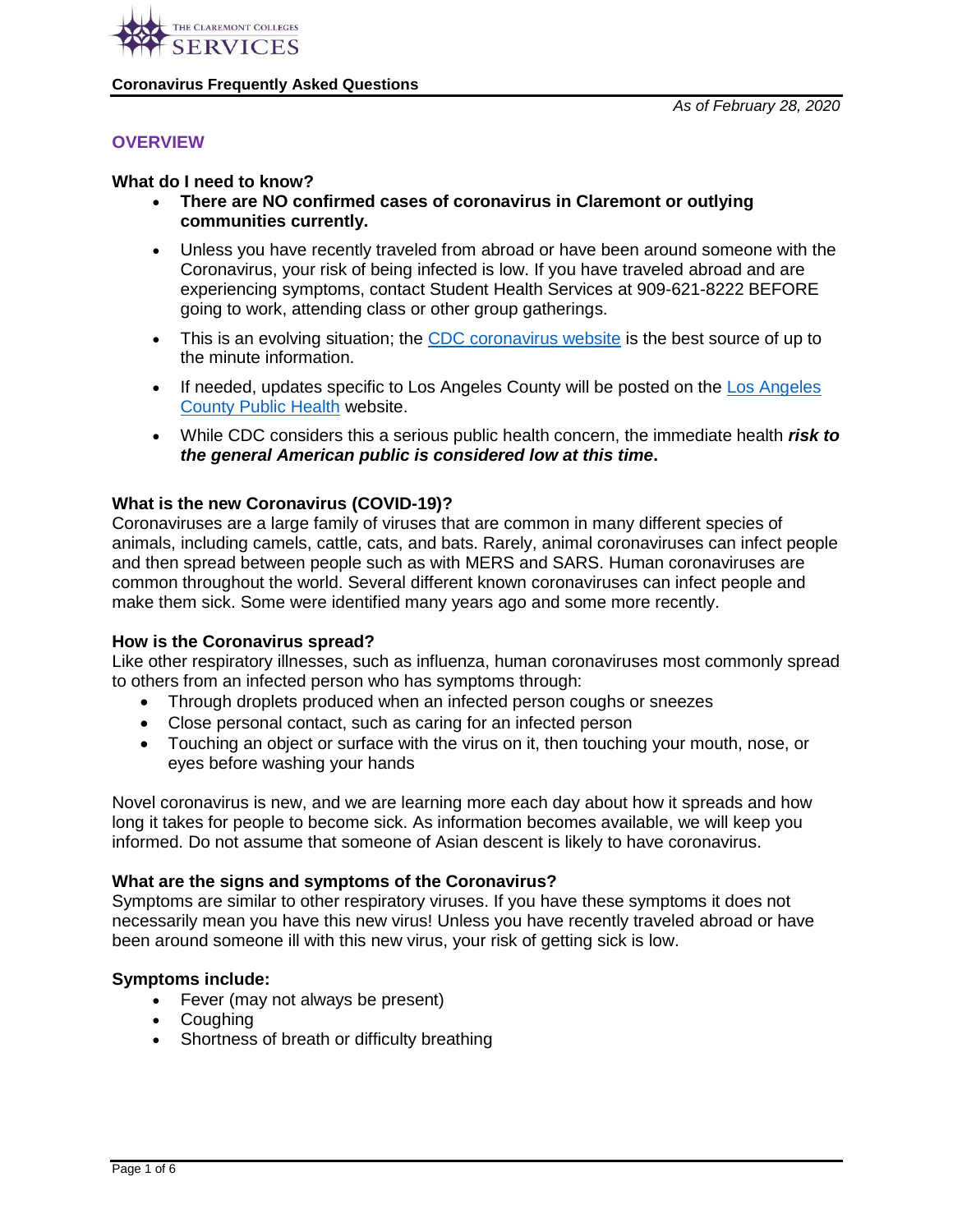

### **OVERVIEW**

#### **What do I need to know?**

- **There are NO confirmed cases of coronavirus in Claremont or outlying communities currently.**
- Unless you have recently traveled from abroad or have been around someone with the Coronavirus, your risk of being infected is low. If you have traveled abroad and are experiencing symptoms, contact Student Health Services at 909-621-8222 BEFORE going to work, attending class or other group gatherings.
- This is an evolving situation; the [CDC coronavirus website](https://www.cdc.gov/coronavirus/2019-ncov/index.html) is the best source of up to the minute information.
- If needed, updates specific to [Los Angeles](http://www.publichealth.lacounty.gov/media/Coronavirus/) County will be posted on the Los Angeles [County Public Health](http://www.publichealth.lacounty.gov/media/Coronavirus/) website.
- While CDC considers this a serious public health concern, the immediate health *risk to the general American public is considered low at this time***.**

### **What is the new Coronavirus (COVID-19)?**

Coronaviruses are a large family of viruses that are common in many different species of animals, including camels, cattle, cats, and bats. Rarely, animal coronaviruses can infect people and then spread between people such as with MERS and SARS. Human coronaviruses are common throughout the world. Several different known coronaviruses can infect people and make them sick. Some were identified many years ago and some more recently.

### **How is the Coronavirus spread?**

Like other respiratory illnesses, such as influenza, human coronaviruses most commonly spread to others from an infected person who has symptoms through:

- Through droplets produced when an infected person coughs or sneezes
- Close personal contact, such as caring for an infected person
- Touching an object or surface with the virus on it, then touching your mouth, nose, or eyes before washing your hands

Novel coronavirus is new, and we are learning more each day about how it spreads and how long it takes for people to become sick. As information becomes available, we will keep you informed. Do not assume that someone of Asian descent is likely to have coronavirus.

### **What are the signs and symptoms of the Coronavirus?**

Symptoms are similar to other respiratory viruses. If you have these symptoms it does not necessarily mean you have this new virus! Unless you have recently traveled abroad or have been around someone ill with this new virus, your risk of getting sick is low.

### **Symptoms include:**

- Fever (may not always be present)
- Coughing
- Shortness of breath or difficulty breathing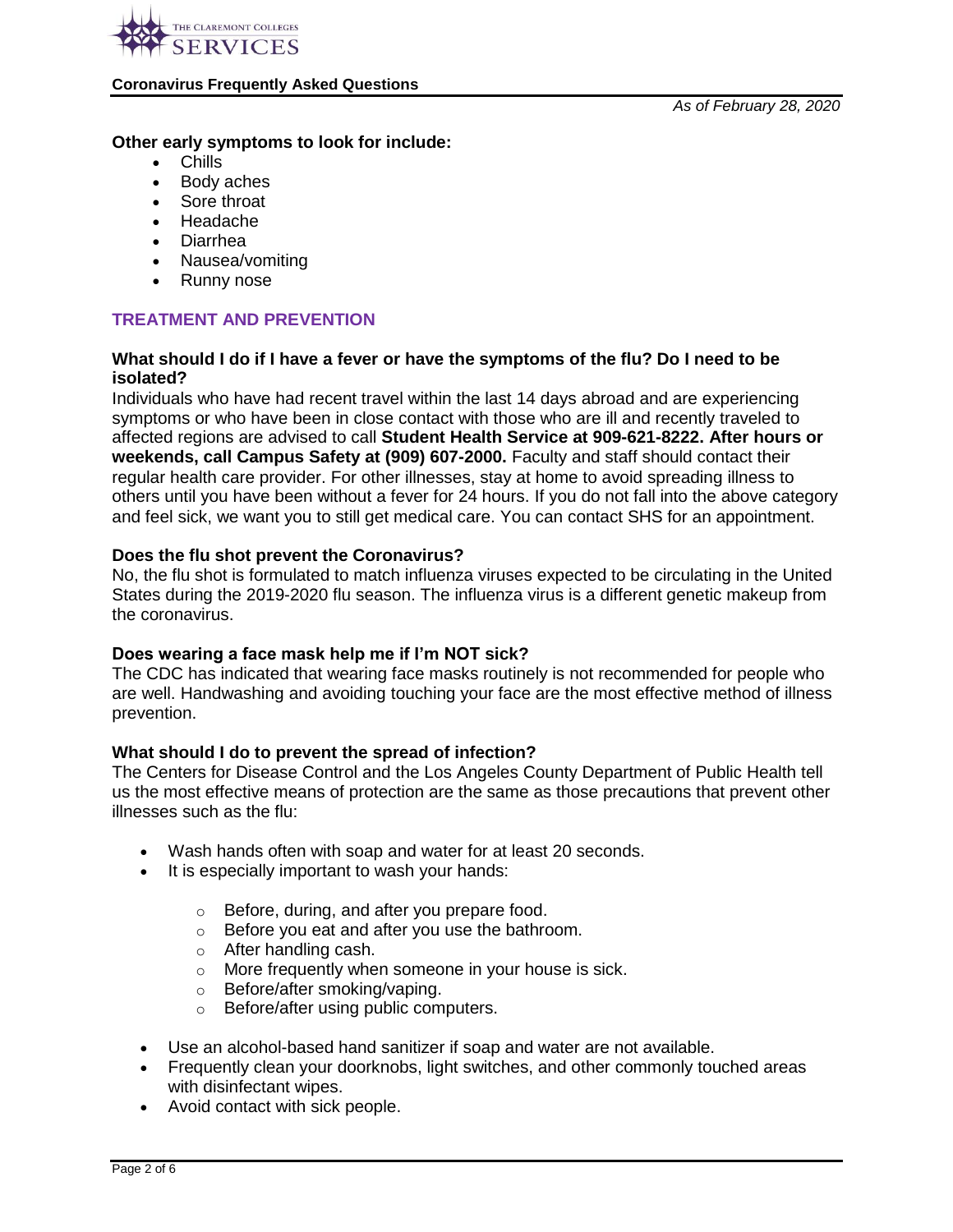

*As of February 28, 2020*

### **Other early symptoms to look for include:**

- Chills
- Body aches
- Sore throat
- Headache
- Diarrhea
- Nausea/vomiting
- Runny nose

# **TREATMENT AND PREVENTION**

### **What should I do if I have a fever or have the symptoms of the flu? Do I need to be isolated?**

Individuals who have had recent travel within the last 14 days abroad and are experiencing symptoms or who have been in close contact with those who are ill and recently traveled to affected regions are advised to call **Student Health Service at 909-621-8222. After hours or weekends, call Campus Safety at (909) 607-2000.** Faculty and staff should contact their regular health care provider. For other illnesses, stay at home to avoid spreading illness to others until you have been without a fever for 24 hours. If you do not fall into the above category and feel sick, we want you to still get medical care. You can contact SHS for an appointment.

### **Does the flu shot prevent the Coronavirus?**

No, the flu shot is formulated to match influenza viruses expected to be circulating in the United States during the 2019-2020 flu season. The influenza virus is a different genetic makeup from the coronavirus.

### **Does wearing a face mask help me if I'm NOT sick?**

The CDC has indicated that wearing face masks routinely is not recommended for people who are well. Handwashing and avoiding touching your face are the most effective method of illness prevention.

### **What should I do to prevent the spread of infection?**

The Centers for Disease Control and the Los Angeles County Department of Public Health tell us the most effective means of protection are the same as those precautions that prevent other illnesses such as the flu:

- Wash hands often with soap and water for at least 20 seconds.
- It is especially important to wash your hands:
	- o Before, during, and after you prepare food.
	- o Before you eat and after you use the bathroom.
	- o After handling cash.
	- o More frequently when someone in your house is sick.
	- o Before/after smoking/vaping.
	- o Before/after using public computers.
- Use an alcohol-based hand sanitizer if soap and water are not available.
- Frequently clean your doorknobs, light switches, and other commonly touched areas with disinfectant wipes.
- Avoid contact with sick people.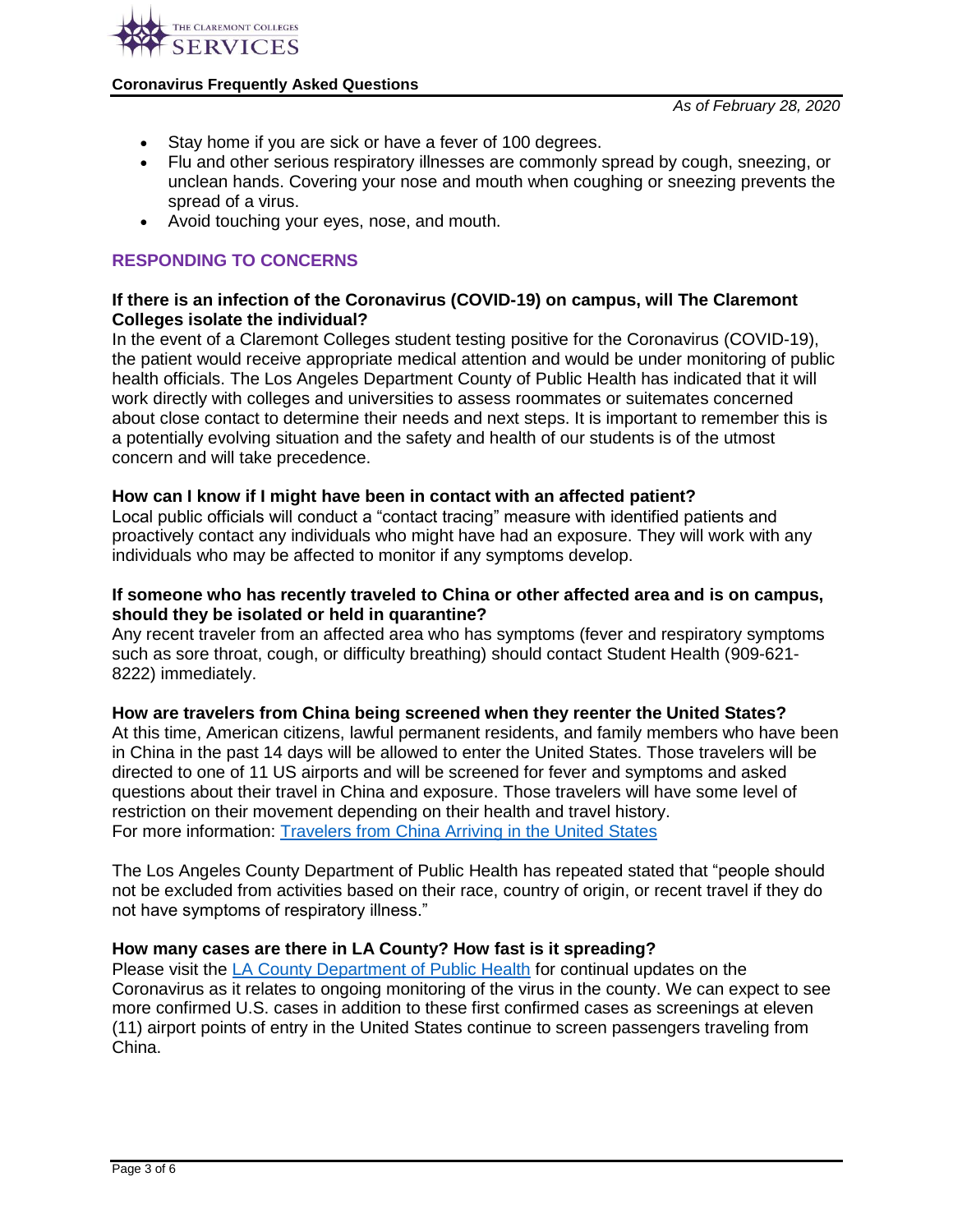

- Stay home if you are sick or have a fever of 100 degrees.
- Flu and other serious respiratory illnesses are commonly spread by cough, sneezing, or unclean hands. Covering your nose and mouth when coughing or sneezing prevents the spread of a virus.
- Avoid touching your eyes, nose, and mouth.

# **RESPONDING TO CONCERNS**

### **If there is an infection of the Coronavirus (COVID-19) on campus, will The Claremont Colleges isolate the individual?**

In the event of a Claremont Colleges student testing positive for the Coronavirus (COVID-19), the patient would receive appropriate medical attention and would be under monitoring of public health officials. The Los Angeles Department County of Public Health has indicated that it will work directly with colleges and universities to assess roommates or suitemates concerned about close contact to determine their needs and next steps. It is important to remember this is a potentially evolving situation and the safety and health of our students is of the utmost concern and will take precedence.

### **How can I know if I might have been in contact with an affected patient?**

Local public officials will conduct a "contact tracing" measure with identified patients and proactively contact any individuals who might have had an exposure. They will work with any individuals who may be affected to monitor if any symptoms develop.

### **If someone who has recently traveled to China or other affected area and is on campus, should they be isolated or held in quarantine?**

Any recent traveler from an affected area who has symptoms (fever and respiratory symptoms such as sore throat, cough, or difficulty breathing) should contact Student Health (909-621- 8222) immediately.

### **How are travelers from China being screened when they reenter the United States?**

At this time, American citizens, lawful permanent residents, and family members who have been in China in the past 14 days will be allowed to enter the United States. Those travelers will be directed to one of 11 US airports and will be screened for fever and symptoms and asked questions about their travel in China and exposure. Those travelers will have some level of restriction on their movement depending on their health and travel history. For more information: [Travelers from China Arriving in the United States](https://www.cdc.gov/coronavirus/2019-ncov/travelers/from-china.html)

The Los Angeles County Department of Public Health has repeated stated that "people should not be excluded from activities based on their race, country of origin, or recent travel if they do not have symptoms of respiratory illness."

# **How many cases are there in LA County? How fast is it spreading?**

Please visit the [LA County Department of Public Health](http://publichealth.lacounty.gov/media/Coronavirus/) for continual updates on the Coronavirus as it relates to ongoing monitoring of the virus in the county. We can expect to see more confirmed U.S. cases in addition to these first confirmed cases as screenings at eleven (11) airport points of entry in the United States continue to screen passengers traveling from China.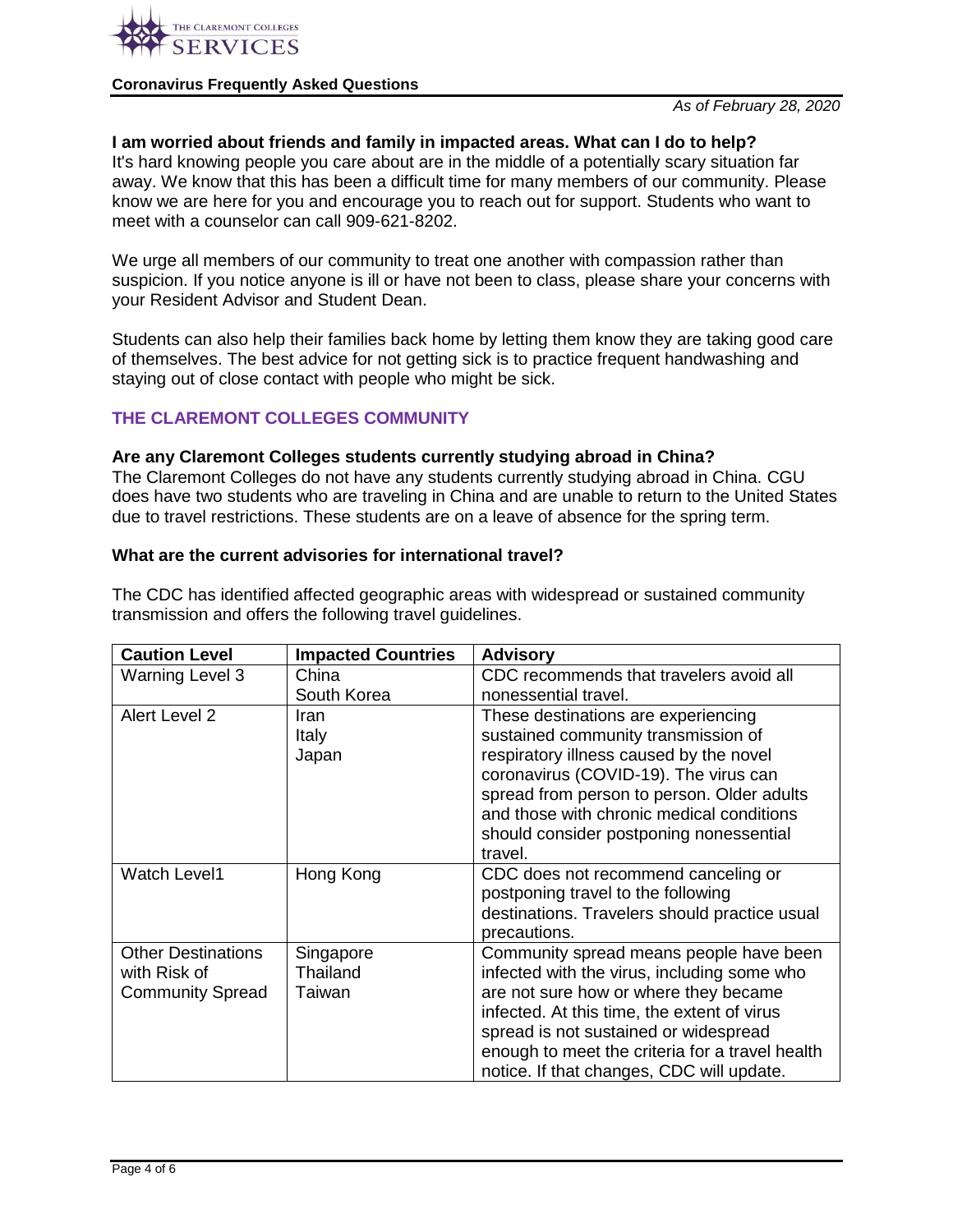

*As of February 28, 2020*

### **I am worried about friends and family in impacted areas. What can I do to help?**

It's hard knowing people you care about are in the middle of a potentially scary situation far away. We know that this has been a difficult time for many members of our community. Please know we are here for you and encourage you to reach out for support. Students who want to meet with a counselor can call 909-621-8202.

We urge all members of our community to treat one another with compassion rather than suspicion. If you notice anyone is ill or have not been to class, please share your concerns with your Resident Advisor and Student Dean.

Students can also help their families back home by letting them know they are taking good care of themselves. The best advice for not getting sick is to practice frequent handwashing and staying out of close contact with people who might be sick.

### **THE CLAREMONT COLLEGES COMMUNITY**

#### **Are any Claremont Colleges students currently studying abroad in China?**

The Claremont Colleges do not have any students currently studying abroad in China. CGU does have two students who are traveling in China and are unable to return to the United States due to travel restrictions. These students are on a leave of absence for the spring term.

#### **What are the current advisories for international travel?**

The CDC has identified affected geographic areas with widespread or sustained community transmission and offers the following travel guidelines.

| <b>Caution Level</b>                                                 | <b>Impacted Countries</b>       | <b>Advisory</b>                                                                                                                                                                                                                                                                                                         |
|----------------------------------------------------------------------|---------------------------------|-------------------------------------------------------------------------------------------------------------------------------------------------------------------------------------------------------------------------------------------------------------------------------------------------------------------------|
| <b>Warning Level 3</b>                                               | China                           | CDC recommends that travelers avoid all                                                                                                                                                                                                                                                                                 |
|                                                                      | South Korea                     | nonessential travel.                                                                                                                                                                                                                                                                                                    |
| Alert Level 2                                                        | Iran<br>Italy<br>Japan          | These destinations are experiencing<br>sustained community transmission of<br>respiratory illness caused by the novel<br>coronavirus (COVID-19). The virus can<br>spread from person to person. Older adults<br>and those with chronic medical conditions<br>should consider postponing nonessential<br>travel.         |
| <b>Watch Level1</b>                                                  | Hong Kong                       | CDC does not recommend canceling or<br>postponing travel to the following<br>destinations. Travelers should practice usual<br>precautions.                                                                                                                                                                              |
| <b>Other Destinations</b><br>with Risk of<br><b>Community Spread</b> | Singapore<br>Thailand<br>Taiwan | Community spread means people have been<br>infected with the virus, including some who<br>are not sure how or where they became<br>infected. At this time, the extent of virus<br>spread is not sustained or widespread<br>enough to meet the criteria for a travel health<br>notice. If that changes, CDC will update. |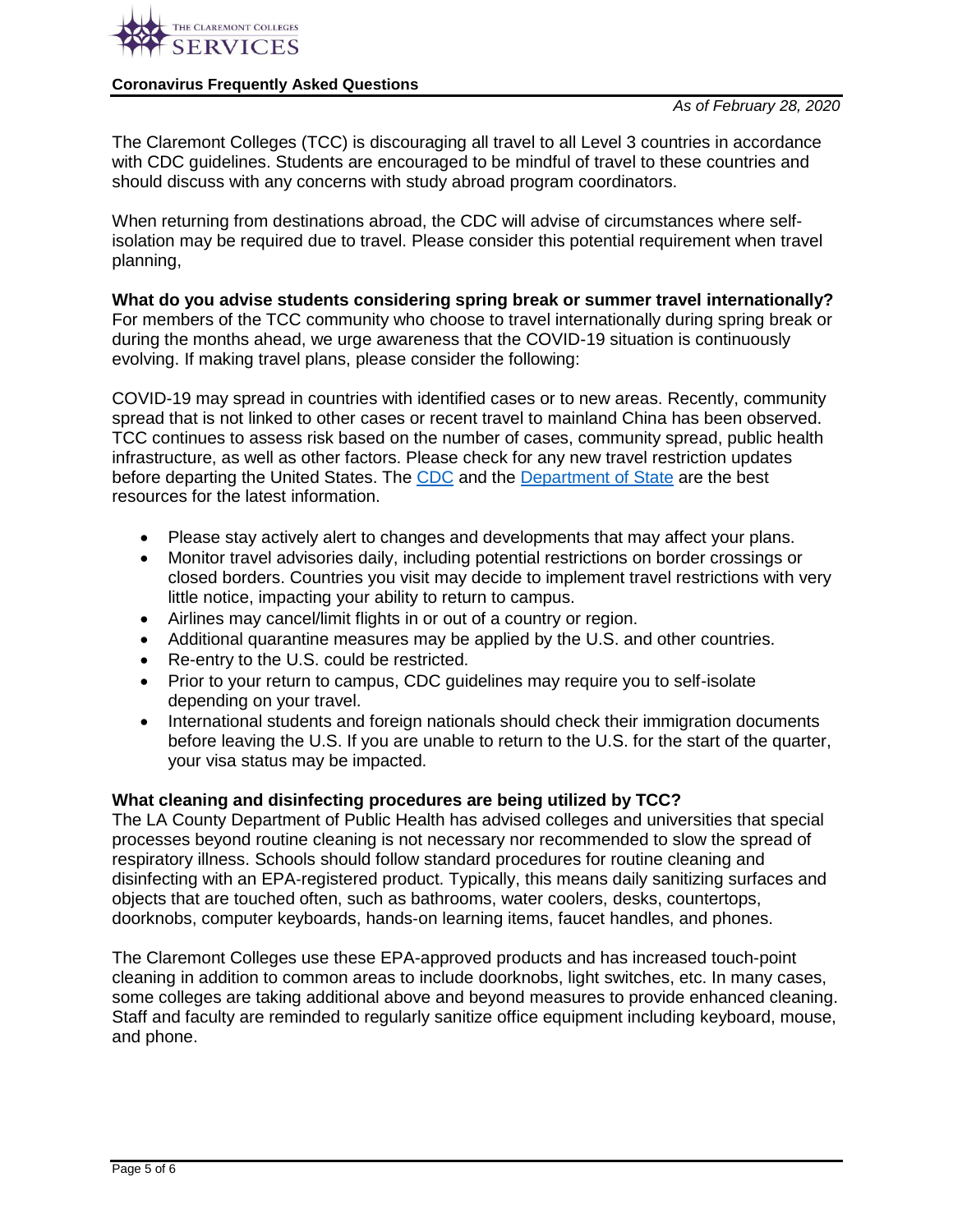

The Claremont Colleges (TCC) is discouraging all travel to all Level 3 countries in accordance with CDC guidelines. Students are encouraged to be mindful of travel to these countries and should discuss with any concerns with study abroad program coordinators.

When returning from destinations abroad, the CDC will advise of circumstances where selfisolation may be required due to travel. Please consider this potential requirement when travel planning,

# **What do you advise students considering spring break or summer travel internationally?**

For members of the TCC community who choose to travel internationally during spring break or during the months ahead, we urge awareness that the COVID-19 situation is continuously evolving. If making travel plans, please consider the following:

COVID-19 may spread in countries with identified cases or to new areas. Recently, community spread that is not linked to other cases or recent travel to mainland China has been observed. TCC continues to assess risk based on the number of cases, community spread, public health infrastructure, as well as other factors. Please check for any new travel restriction updates before departing the United States. The [CDC](https://www.cdc.gov/coronavirus/2019-ncov/travelers/faqs.html) and the [Department of State](https://travel.state.gov/content/travel/en/traveladvisories/traveladvisories.html/) are the best resources for the latest information.

- Please stay actively alert to changes and developments that may affect your plans.
- Monitor travel advisories daily, including potential restrictions on border crossings or closed borders. Countries you visit may decide to implement travel restrictions with very little notice, impacting your ability to return to campus.
- Airlines may cancel/limit flights in or out of a country or region.
- Additional quarantine measures may be applied by the U.S. and other countries.
- Re-entry to the U.S. could be restricted.
- Prior to your return to campus, CDC guidelines may require you to self-isolate depending on your travel.
- International students and foreign nationals should check their immigration documents before leaving the U.S. If you are unable to return to the U.S. for the start of the quarter, your visa status may be impacted.

# **What cleaning and disinfecting procedures are being utilized by TCC?**

The LA County Department of Public Health has advised colleges and universities that special processes beyond routine cleaning is not necessary nor recommended to slow the spread of respiratory illness. Schools should follow standard procedures for routine cleaning and disinfecting with an EPA‐registered product. Typically, this means daily sanitizing surfaces and objects that are touched often, such as bathrooms, water coolers, desks, countertops, doorknobs, computer keyboards, hands‐on learning items, faucet handles, and phones.

The Claremont Colleges use these EPA-approved products and has increased touch-point cleaning in addition to common areas to include doorknobs, light switches, etc. In many cases, some colleges are taking additional above and beyond measures to provide enhanced cleaning. Staff and faculty are reminded to regularly sanitize office equipment including keyboard, mouse, and phone.